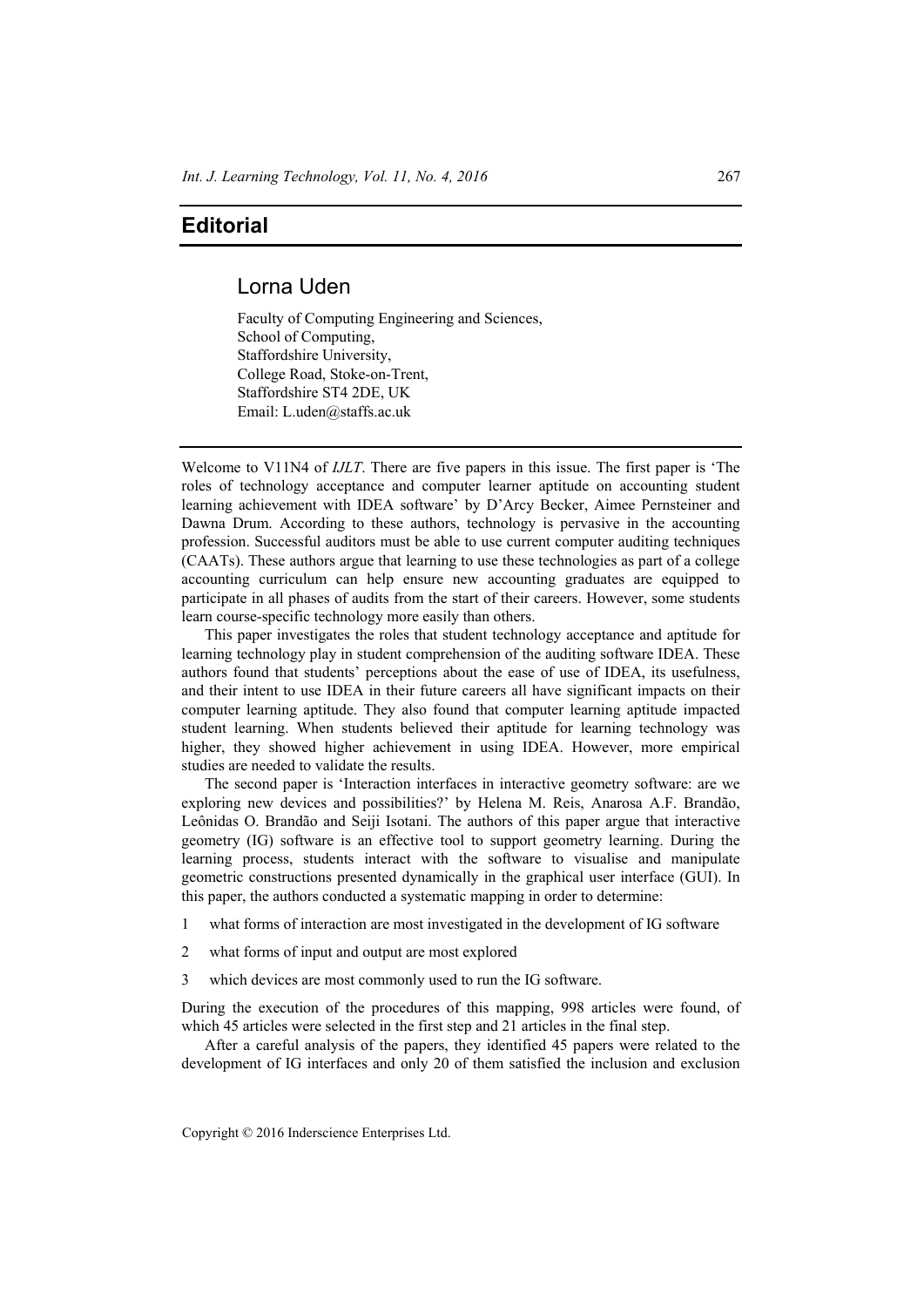## **Editorial**

## Lorna Uden

Faculty of Computing Engineering and Sciences, School of Computing, Staffordshire University, College Road, Stoke-on-Trent, Staffordshire ST4 2DE, UK Email: L.uden@staffs.ac.uk

Welcome to V11N4 of *IJLT*. There are five papers in this issue. The first paper is 'The roles of technology acceptance and computer learner aptitude on accounting student learning achievement with IDEA software' by D'Arcy Becker, Aimee Pernsteiner and Dawna Drum. According to these authors, technology is pervasive in the accounting profession. Successful auditors must be able to use current computer auditing techniques (CAATs). These authors argue that learning to use these technologies as part of a college accounting curriculum can help ensure new accounting graduates are equipped to participate in all phases of audits from the start of their careers. However, some students learn course-specific technology more easily than others.

This paper investigates the roles that student technology acceptance and aptitude for learning technology play in student comprehension of the auditing software IDEA. These authors found that students' perceptions about the ease of use of IDEA, its usefulness, and their intent to use IDEA in their future careers all have significant impacts on their computer learning aptitude. They also found that computer learning aptitude impacted student learning. When students believed their aptitude for learning technology was higher, they showed higher achievement in using IDEA. However, more empirical studies are needed to validate the results.

The second paper is 'Interaction interfaces in interactive geometry software: are we exploring new devices and possibilities?' by Helena M. Reis, Anarosa A.F. Brandão, Leônidas O. Brandão and Seiji Isotani. The authors of this paper argue that interactive geometry (IG) software is an effective tool to support geometry learning. During the learning process, students interact with the software to visualise and manipulate geometric constructions presented dynamically in the graphical user interface (GUI). In this paper, the authors conducted a systematic mapping in order to determine:

- 1 what forms of interaction are most investigated in the development of IG software
- 2 what forms of input and output are most explored
- 3 which devices are most commonly used to run the IG software.

During the execution of the procedures of this mapping, 998 articles were found, of which 45 articles were selected in the first step and 21 articles in the final step.

After a careful analysis of the papers, they identified 45 papers were related to the development of IG interfaces and only 20 of them satisfied the inclusion and exclusion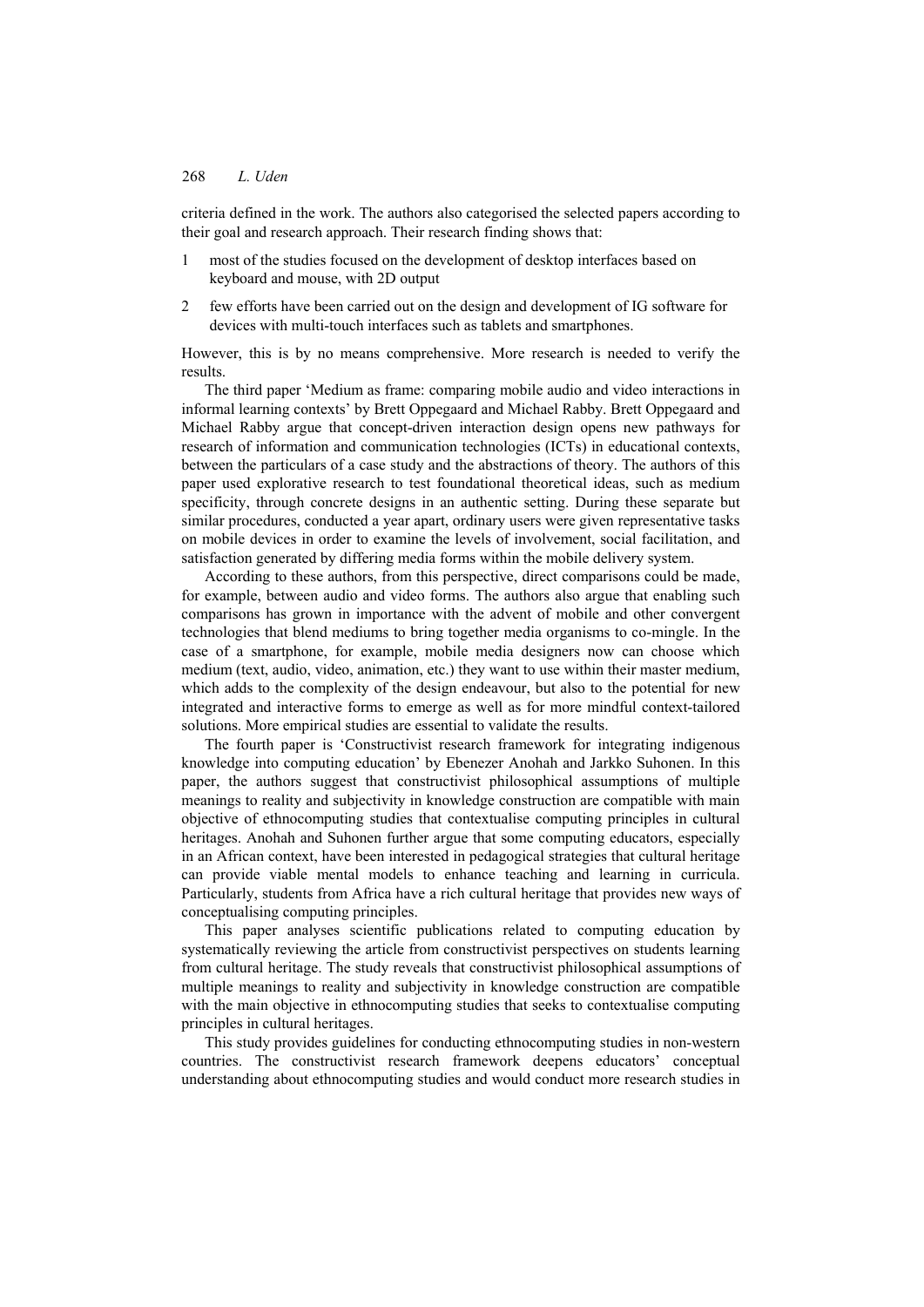## 268 *L. Uden*

criteria defined in the work. The authors also categorised the selected papers according to their goal and research approach. Their research finding shows that:

- 1 most of the studies focused on the development of desktop interfaces based on keyboard and mouse, with 2D output
- 2 few efforts have been carried out on the design and development of IG software for devices with multi-touch interfaces such as tablets and smartphones.

However, this is by no means comprehensive. More research is needed to verify the results.

The third paper 'Medium as frame: comparing mobile audio and video interactions in informal learning contexts' by Brett Oppegaard and Michael Rabby. Brett Oppegaard and Michael Rabby argue that concept-driven interaction design opens new pathways for research of information and communication technologies (ICTs) in educational contexts, between the particulars of a case study and the abstractions of theory. The authors of this paper used explorative research to test foundational theoretical ideas, such as medium specificity, through concrete designs in an authentic setting. During these separate but similar procedures, conducted a year apart, ordinary users were given representative tasks on mobile devices in order to examine the levels of involvement, social facilitation, and satisfaction generated by differing media forms within the mobile delivery system.

According to these authors, from this perspective, direct comparisons could be made, for example, between audio and video forms. The authors also argue that enabling such comparisons has grown in importance with the advent of mobile and other convergent technologies that blend mediums to bring together media organisms to co-mingle. In the case of a smartphone, for example, mobile media designers now can choose which medium (text, audio, video, animation, etc.) they want to use within their master medium, which adds to the complexity of the design endeavour, but also to the potential for new integrated and interactive forms to emerge as well as for more mindful context-tailored solutions. More empirical studies are essential to validate the results.

The fourth paper is 'Constructivist research framework for integrating indigenous knowledge into computing education' by Ebenezer Anohah and Jarkko Suhonen. In this paper, the authors suggest that constructivist philosophical assumptions of multiple meanings to reality and subjectivity in knowledge construction are compatible with main objective of ethnocomputing studies that contextualise computing principles in cultural heritages. Anohah and Suhonen further argue that some computing educators, especially in an African context, have been interested in pedagogical strategies that cultural heritage can provide viable mental models to enhance teaching and learning in curricula. Particularly, students from Africa have a rich cultural heritage that provides new ways of conceptualising computing principles.

This paper analyses scientific publications related to computing education by systematically reviewing the article from constructivist perspectives on students learning from cultural heritage. The study reveals that constructivist philosophical assumptions of multiple meanings to reality and subjectivity in knowledge construction are compatible with the main objective in ethnocomputing studies that seeks to contextualise computing principles in cultural heritages.

This study provides guidelines for conducting ethnocomputing studies in non-western countries. The constructivist research framework deepens educators' conceptual understanding about ethnocomputing studies and would conduct more research studies in